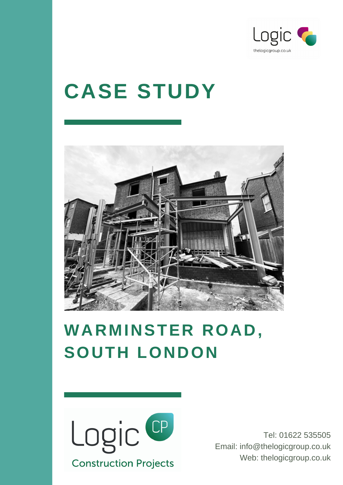

# **CASE STUDY**



## **WARMINSTER ROAD, SOUTH LONDON**



Tel: 01622 535505 Email: info@thelogicgroup.co.uk Web: thelogicgroup.co.uk